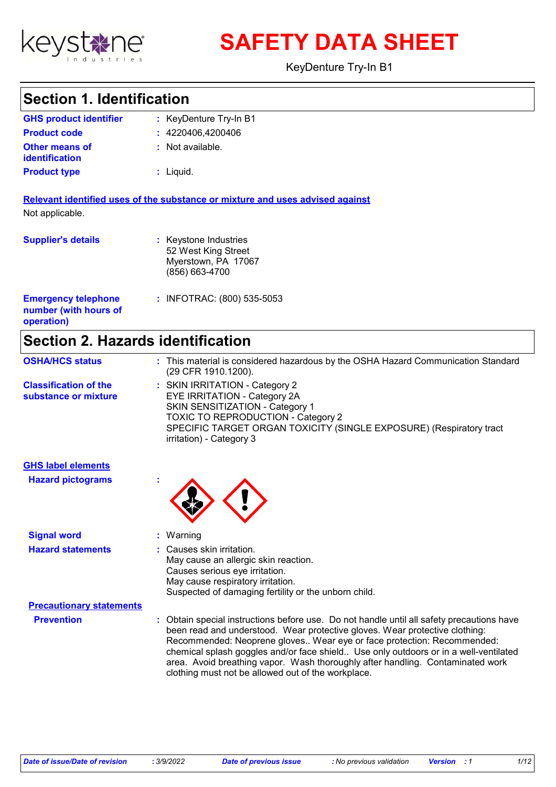

**SAFETY DATA SHEET**

KeyDenture Try-In B1

### **Section 1. Identification**

| <b>GHS product identifier</b>                  | : KeyDenture Try-In B1 |
|------------------------------------------------|------------------------|
| <b>Product code</b>                            | : 4220406,4200406      |
| <b>Other means of</b><br><b>identification</b> | : Not available.       |
| <b>Product type</b>                            | $:$ Liquid.            |

**Relevant identified uses of the substance or mixture and uses advised against** Not applicable.

| <b>Supplier's details</b>                                         | : Keystone Industries<br>52 West King Street<br>Myerstown, PA 17067<br>(856) 663-4700 |
|-------------------------------------------------------------------|---------------------------------------------------------------------------------------|
| <b>Emergency telephone</b><br>number (with hours of<br>operation) | : INFOTRAC: (800) 535-5053                                                            |

## **Section 2. Hazards identification**

| <b>OSHA/HCS status</b>                               | : This material is considered hazardous by the OSHA Hazard Communication Standard<br>(29 CFR 1910.1200).                                                                                                                                                 |
|------------------------------------------------------|----------------------------------------------------------------------------------------------------------------------------------------------------------------------------------------------------------------------------------------------------------|
| <b>Classification of the</b><br>substance or mixture | : SKIN IRRITATION - Category 2<br><b>EYE IRRITATION - Category 2A</b><br>SKIN SENSITIZATION - Category 1<br><b>TOXIC TO REPRODUCTION - Category 2</b><br>SPECIFIC TARGET ORGAN TOXICITY (SINGLE EXPOSURE) (Respiratory tract<br>irritation) - Category 3 |

| <b>GHS label elements</b><br><b>Hazard pictograms</b> |                                                                                                                                                                                                                                                    |
|-------------------------------------------------------|----------------------------------------------------------------------------------------------------------------------------------------------------------------------------------------------------------------------------------------------------|
| <b>Signal word</b>                                    | : Warning                                                                                                                                                                                                                                          |
| <b>Hazard statements</b>                              | : Causes skin irritation.<br>May cause an allergic skin reaction.<br>Causes serious eye irritation.<br>May cause respiratory irritation.<br>Suspected of damaging fertility or the unborn child.                                                   |
| <b>Precautionary statements</b>                       |                                                                                                                                                                                                                                                    |
| <b>Prevention</b>                                     | : Obtain special instructions before use. Do not handle until all safety precautions have<br>been read and understood. Wear protective gloves. Wear protective clothing:<br>Recommended: Neoprene gloves Wear eye or face protection: Recommended: |

oprene gloves.. W chemical splash goggles and/or face shield.. Use only outdoors or in a well-ventilated area. Avoid breathing vapor. Wash thoroughly after handling. Contaminated work clothing must not be allowed out of the workplace.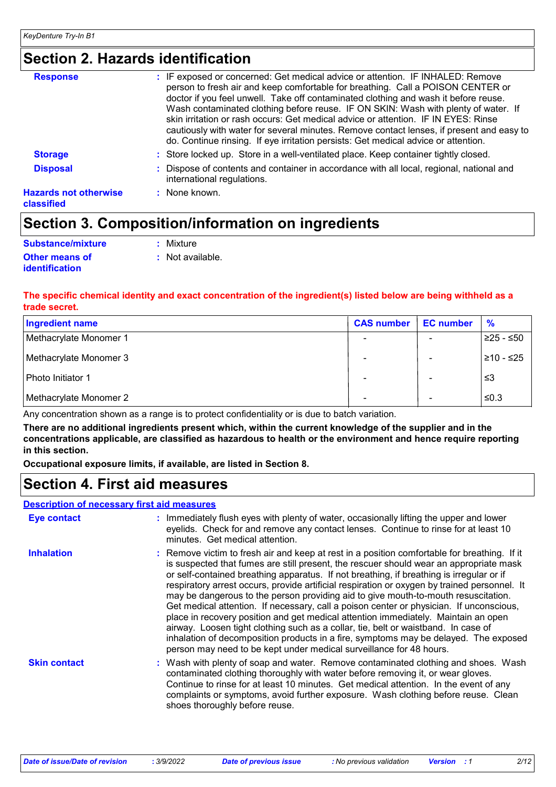## **Section 2. Hazards identification**

| <b>Response</b>                            | : IF exposed or concerned: Get medical advice or attention. IF INHALED: Remove<br>person to fresh air and keep comfortable for breathing. Call a POISON CENTER or<br>doctor if you feel unwell. Take off contaminated clothing and wash it before reuse.<br>Wash contaminated clothing before reuse. IF ON SKIN: Wash with plenty of water. If<br>skin irritation or rash occurs: Get medical advice or attention. IF IN EYES: Rinse<br>cautiously with water for several minutes. Remove contact lenses, if present and easy to<br>do. Continue rinsing. If eye irritation persists: Get medical advice or attention. |
|--------------------------------------------|------------------------------------------------------------------------------------------------------------------------------------------------------------------------------------------------------------------------------------------------------------------------------------------------------------------------------------------------------------------------------------------------------------------------------------------------------------------------------------------------------------------------------------------------------------------------------------------------------------------------|
| <b>Storage</b>                             | : Store locked up. Store in a well-ventilated place. Keep container tightly closed.                                                                                                                                                                                                                                                                                                                                                                                                                                                                                                                                    |
| <b>Disposal</b>                            | : Dispose of contents and container in accordance with all local, regional, national and<br>international regulations.                                                                                                                                                                                                                                                                                                                                                                                                                                                                                                 |
| <b>Hazards not otherwise</b><br>classified | $:$ None known.                                                                                                                                                                                                                                                                                                                                                                                                                                                                                                                                                                                                        |

# **Section 3. Composition/information on ingredients**

| Substance/mixture     | : Mixture        |
|-----------------------|------------------|
| <b>Other means of</b> | : Not available. |
| <i>identification</i> |                  |

#### **The specific chemical identity and exact concentration of the ingredient(s) listed below are being withheld as a trade secret.**

| <b>Ingredient name</b> | <b>CAS number</b> | <b>EC</b> number | %           |
|------------------------|-------------------|------------------|-------------|
| Methacrylate Monomer 1 |                   |                  | $≥25 - ≤50$ |
| Methacrylate Monomer 3 |                   |                  | ≥10 - ≤25   |
| Photo Initiator 1      |                   |                  | צ≥          |
| Methacrylate Monomer 2 |                   |                  | ≤0.3        |

Any concentration shown as a range is to protect confidentiality or is due to batch variation.

**There are no additional ingredients present which, within the current knowledge of the supplier and in the concentrations applicable, are classified as hazardous to health or the environment and hence require reporting in this section.**

**Occupational exposure limits, if available, are listed in Section 8.**

### **Section 4. First aid measures**

#### **Description of necessary first aid measures**

| <b>Eye contact</b>  | : Immediately flush eyes with plenty of water, occasionally lifting the upper and lower<br>eyelids. Check for and remove any contact lenses. Continue to rinse for at least 10<br>minutes. Get medical attention.                                                                                                                                                                                                                                                                                                                                                                                                                                                                                                                                                                                                                                                                                              |
|---------------------|----------------------------------------------------------------------------------------------------------------------------------------------------------------------------------------------------------------------------------------------------------------------------------------------------------------------------------------------------------------------------------------------------------------------------------------------------------------------------------------------------------------------------------------------------------------------------------------------------------------------------------------------------------------------------------------------------------------------------------------------------------------------------------------------------------------------------------------------------------------------------------------------------------------|
| <b>Inhalation</b>   | : Remove victim to fresh air and keep at rest in a position comfortable for breathing. If it<br>is suspected that fumes are still present, the rescuer should wear an appropriate mask<br>or self-contained breathing apparatus. If not breathing, if breathing is irregular or if<br>respiratory arrest occurs, provide artificial respiration or oxygen by trained personnel. It<br>may be dangerous to the person providing aid to give mouth-to-mouth resuscitation.<br>Get medical attention. If necessary, call a poison center or physician. If unconscious,<br>place in recovery position and get medical attention immediately. Maintain an open<br>airway. Loosen tight clothing such as a collar, tie, belt or waistband. In case of<br>inhalation of decomposition products in a fire, symptoms may be delayed. The exposed<br>person may need to be kept under medical surveillance for 48 hours. |
| <b>Skin contact</b> | : Wash with plenty of soap and water. Remove contaminated clothing and shoes. Wash<br>contaminated clothing thoroughly with water before removing it, or wear gloves.<br>Continue to rinse for at least 10 minutes. Get medical attention. In the event of any<br>complaints or symptoms, avoid further exposure. Wash clothing before reuse. Clean<br>shoes thoroughly before reuse.                                                                                                                                                                                                                                                                                                                                                                                                                                                                                                                          |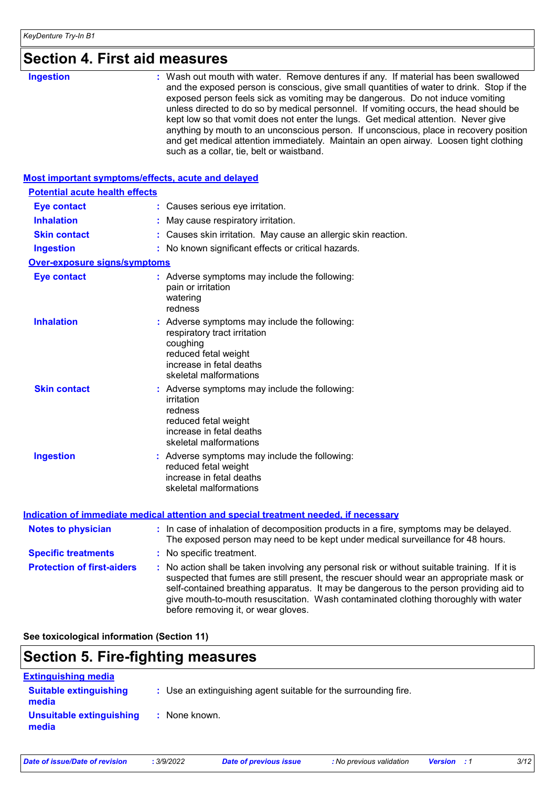# **Section 4. First aid measures**

| such as a collar, tie, belt or waistband. |
|-------------------------------------------|
|-------------------------------------------|

#### **Most important symptoms/effects, acute and delayed**

| <b>Potential acute health effects</b> |                                                                                                                                                                         |
|---------------------------------------|-------------------------------------------------------------------------------------------------------------------------------------------------------------------------|
| <b>Eye contact</b>                    | : Causes serious eye irritation.                                                                                                                                        |
| <b>Inhalation</b>                     | : May cause respiratory irritation.                                                                                                                                     |
| <b>Skin contact</b>                   | : Causes skin irritation. May cause an allergic skin reaction.                                                                                                          |
| <b>Ingestion</b>                      | : No known significant effects or critical hazards.                                                                                                                     |
| <b>Over-exposure signs/symptoms</b>   |                                                                                                                                                                         |
| <b>Eye contact</b>                    | : Adverse symptoms may include the following:<br>pain or irritation<br>watering<br>redness                                                                              |
| <b>Inhalation</b>                     | : Adverse symptoms may include the following:<br>respiratory tract irritation<br>coughing<br>reduced fetal weight<br>increase in fetal deaths<br>skeletal malformations |
| <b>Skin contact</b>                   | : Adverse symptoms may include the following:<br>irritation<br>redness<br>reduced fetal weight<br>increase in fetal deaths<br>skeletal malformations                    |
| <b>Ingestion</b>                      | : Adverse symptoms may include the following:<br>reduced fetal weight<br>increase in fetal deaths<br>skeletal malformations                                             |

| <b>Notes to physician</b>         | : In case of inhalation of decomposition products in a fire, symptoms may be delayed.<br>The exposed person may need to be kept under medical surveillance for 48 hours.                                                                                                                                                                                                                                        |
|-----------------------------------|-----------------------------------------------------------------------------------------------------------------------------------------------------------------------------------------------------------------------------------------------------------------------------------------------------------------------------------------------------------------------------------------------------------------|
| <b>Specific treatments</b>        | : No specific treatment.                                                                                                                                                                                                                                                                                                                                                                                        |
| <b>Protection of first-aiders</b> | : No action shall be taken involving any personal risk or without suitable training. If it is<br>suspected that fumes are still present, the rescuer should wear an appropriate mask or<br>self-contained breathing apparatus. It may be dangerous to the person providing aid to<br>give mouth-to-mouth resuscitation. Wash contaminated clothing thoroughly with water<br>before removing it, or wear gloves. |

**See toxicological information (Section 11)**

# **Section 5. Fire-fighting measures**

| <b>Extinguishing media</b>             |                                                                 |
|----------------------------------------|-----------------------------------------------------------------|
| <b>Suitable extinguishing</b><br>media | : Use an extinguishing agent suitable for the surrounding fire. |
| Unsuitable extinguishing<br>media      | None known.                                                     |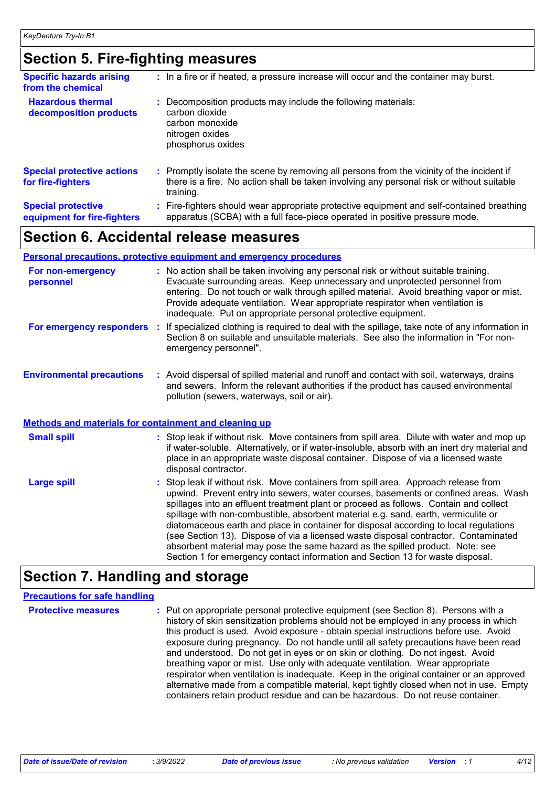## **Section 5. Fire-fighting measures**

| <b>Specific hazards arising</b><br>from the chemical     | : In a fire or if heated, a pressure increase will occur and the container may burst.                                                                                                               |
|----------------------------------------------------------|-----------------------------------------------------------------------------------------------------------------------------------------------------------------------------------------------------|
| <b>Hazardous thermal</b><br>decomposition products       | Decomposition products may include the following materials:<br>carbon dioxide<br>carbon monoxide<br>nitrogen oxides<br>phosphorus oxides                                                            |
| <b>Special protective actions</b><br>for fire-fighters   | : Promptly isolate the scene by removing all persons from the vicinity of the incident if<br>there is a fire. No action shall be taken involving any personal risk or without suitable<br>training. |
| <b>Special protective</b><br>equipment for fire-fighters | Fire-fighters should wear appropriate protective equipment and self-contained breathing<br>apparatus (SCBA) with a full face-piece operated in positive pressure mode.                              |

### **Section 6. Accidental release measures**

#### **Personal precautions, protective equipment and emergency procedures**

| For non-emergency<br>personnel   | : No action shall be taken involving any personal risk or without suitable training.<br>Evacuate surrounding areas. Keep unnecessary and unprotected personnel from<br>entering. Do not touch or walk through spilled material. Avoid breathing vapor or mist.<br>Provide adequate ventilation. Wear appropriate respirator when ventilation is<br>inadequate. Put on appropriate personal protective equipment. |
|----------------------------------|------------------------------------------------------------------------------------------------------------------------------------------------------------------------------------------------------------------------------------------------------------------------------------------------------------------------------------------------------------------------------------------------------------------|
| For emergency responders         | : If specialized clothing is required to deal with the spillage, take note of any information in<br>Section 8 on suitable and unsuitable materials. See also the information in "For non-<br>emergency personnel".                                                                                                                                                                                               |
| <b>Environmental precautions</b> | : Avoid dispersal of spilled material and runoff and contact with soil, waterways, drains<br>and sewers. Inform the relevant authorities if the product has caused environmental<br>pollution (sewers, waterways, soil or air).                                                                                                                                                                                  |

#### **Methods and materials for containment and cleaning up**

| <b>Small spill</b> | : Stop leak if without risk. Move containers from spill area. Dilute with water and mop up<br>if water-soluble. Alternatively, or if water-insoluble, absorb with an inert dry material and<br>place in an appropriate waste disposal container. Dispose of via a licensed waste<br>disposal contractor.                                                                                                                                                                                                                                                                                                                                                                                                     |
|--------------------|--------------------------------------------------------------------------------------------------------------------------------------------------------------------------------------------------------------------------------------------------------------------------------------------------------------------------------------------------------------------------------------------------------------------------------------------------------------------------------------------------------------------------------------------------------------------------------------------------------------------------------------------------------------------------------------------------------------|
| Large spill        | : Stop leak if without risk. Move containers from spill area. Approach release from<br>upwind. Prevent entry into sewers, water courses, basements or confined areas. Wash<br>spillages into an effluent treatment plant or proceed as follows. Contain and collect<br>spillage with non-combustible, absorbent material e.g. sand, earth, vermiculite or<br>diatomaceous earth and place in container for disposal according to local regulations<br>(see Section 13). Dispose of via a licensed waste disposal contractor. Contaminated<br>absorbent material may pose the same hazard as the spilled product. Note: see<br>Section 1 for emergency contact information and Section 13 for waste disposal. |

### **Section 7. Handling and storage**

### **Precautions for safe handling**

**Protective measures** : Put on appropriate personal protective equipment (see Section 8). Persons with a **Protestion** history of skin sensitization problems should not be employed in any process in which this product is used. Avoid exposure - obtain special instructions before use. Avoid exposure during pregnancy. Do not handle until all safety precautions have been read and understood. Do not get in eyes or on skin or clothing. Do not ingest. Avoid breathing vapor or mist. Use only with adequate ventilation. Wear appropriate respirator when ventilation is inadequate. Keep in the original container or an approved alternative made from a compatible material, kept tightly closed when not in use. Empty containers retain product residue and can be hazardous. Do not reuse container.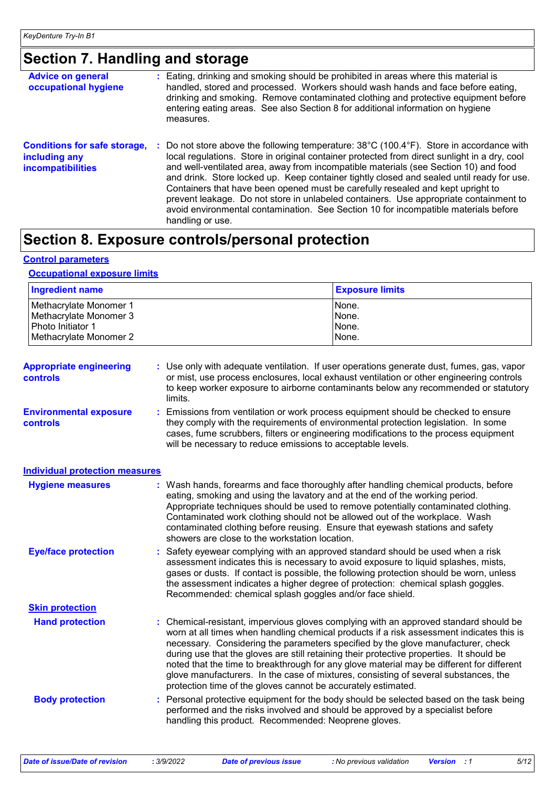# **Section 7. Handling and storage**

| <b>Advice on general</b><br>occupational hygiene                                 | : Eating, drinking and smoking should be prohibited in areas where this material is<br>handled, stored and processed. Workers should wash hands and face before eating,<br>drinking and smoking. Remove contaminated clothing and protective equipment before<br>entering eating areas. See also Section 8 for additional information on hygiene<br>measures.                                                                                                                                                                                                                                                                                                                                 |
|----------------------------------------------------------------------------------|-----------------------------------------------------------------------------------------------------------------------------------------------------------------------------------------------------------------------------------------------------------------------------------------------------------------------------------------------------------------------------------------------------------------------------------------------------------------------------------------------------------------------------------------------------------------------------------------------------------------------------------------------------------------------------------------------|
| <b>Conditions for safe storage,</b><br>including any<br><b>incompatibilities</b> | Do not store above the following temperature: $38^{\circ}$ C (100.4 $^{\circ}$ F). Store in accordance with<br>÷.<br>local regulations. Store in original container protected from direct sunlight in a dry, cool<br>and well-ventilated area, away from incompatible materials (see Section 10) and food<br>and drink. Store locked up. Keep container tightly closed and sealed until ready for use.<br>Containers that have been opened must be carefully resealed and kept upright to<br>prevent leakage. Do not store in unlabeled containers. Use appropriate containment to<br>avoid environmental contamination. See Section 10 for incompatible materials before<br>handling or use. |

## **Section 8. Exposure controls/personal protection**

#### **Control parameters**

#### **Occupational exposure limits**

| <b>Ingredient name</b>    | <b>Exposure limits</b> |
|---------------------------|------------------------|
| Methacrylate Monomer 1    | None.                  |
| l Methacrvlate Monomer 3_ | None.                  |
| l Photo Initiator 1       | None.                  |
| l Methacrvlate Monomer 2  | None.                  |

| <b>Appropriate engineering</b><br>controls       | : Use only with adequate ventilation. If user operations generate dust, fumes, gas, vapor<br>or mist, use process enclosures, local exhaust ventilation or other engineering controls<br>to keep worker exposure to airborne contaminants below any recommended or statutory<br>limits.                                         |
|--------------------------------------------------|---------------------------------------------------------------------------------------------------------------------------------------------------------------------------------------------------------------------------------------------------------------------------------------------------------------------------------|
| <b>Environmental exposure</b><br><b>controls</b> | : Emissions from ventilation or work process equipment should be checked to ensure<br>they comply with the requirements of environmental protection legislation. In some<br>cases, fume scrubbers, filters or engineering modifications to the process equipment<br>will be necessary to reduce emissions to acceptable levels. |

| <b>Individual protection measures</b> |                                                                                                                                                                                                                                                                                                                                                                                                                                                                                                                                                                                                                        |
|---------------------------------------|------------------------------------------------------------------------------------------------------------------------------------------------------------------------------------------------------------------------------------------------------------------------------------------------------------------------------------------------------------------------------------------------------------------------------------------------------------------------------------------------------------------------------------------------------------------------------------------------------------------------|
| <b>Hygiene measures</b>               | : Wash hands, forearms and face thoroughly after handling chemical products, before<br>eating, smoking and using the lavatory and at the end of the working period.<br>Appropriate techniques should be used to remove potentially contaminated clothing.<br>Contaminated work clothing should not be allowed out of the workplace. Wash<br>contaminated clothing before reusing. Ensure that eyewash stations and safety<br>showers are close to the workstation location.                                                                                                                                            |
| <b>Eye/face protection</b>            | : Safety eyewear complying with an approved standard should be used when a risk<br>assessment indicates this is necessary to avoid exposure to liquid splashes, mists,<br>gases or dusts. If contact is possible, the following protection should be worn, unless<br>the assessment indicates a higher degree of protection: chemical splash goggles.<br>Recommended: chemical splash goggles and/or face shield.                                                                                                                                                                                                      |
| <b>Skin protection</b>                |                                                                                                                                                                                                                                                                                                                                                                                                                                                                                                                                                                                                                        |
| <b>Hand protection</b>                | : Chemical-resistant, impervious gloves complying with an approved standard should be<br>worn at all times when handling chemical products if a risk assessment indicates this is<br>necessary. Considering the parameters specified by the glove manufacturer, check<br>during use that the gloves are still retaining their protective properties. It should be<br>noted that the time to breakthrough for any glove material may be different for different<br>glove manufacturers. In the case of mixtures, consisting of several substances, the<br>protection time of the gloves cannot be accurately estimated. |
| <b>Body protection</b>                | : Personal protective equipment for the body should be selected based on the task being<br>performed and the risks involved and should be approved by a specialist before<br>handling this product. Recommended: Neoprene gloves.                                                                                                                                                                                                                                                                                                                                                                                      |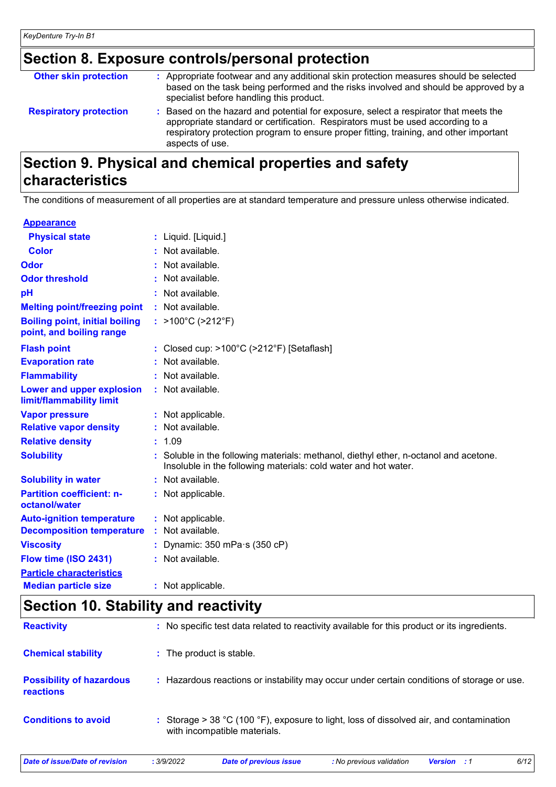# **Section 8. Exposure controls/personal protection**

| <b>Other skin protection</b>  | : Appropriate footwear and any additional skin protection measures should be selected<br>based on the task being performed and the risks involved and should be approved by a<br>specialist before handling this product.                                                           |
|-------------------------------|-------------------------------------------------------------------------------------------------------------------------------------------------------------------------------------------------------------------------------------------------------------------------------------|
| <b>Respiratory protection</b> | : Based on the hazard and potential for exposure, select a respirator that meets the<br>appropriate standard or certification. Respirators must be used according to a<br>respiratory protection program to ensure proper fitting, training, and other important<br>aspects of use. |

### **Section 9. Physical and chemical properties and safety characteristics**

The conditions of measurement of all properties are at standard temperature and pressure unless otherwise indicated.

| <b>Appearance</b>                                                 |                                                                                                                                                          |
|-------------------------------------------------------------------|----------------------------------------------------------------------------------------------------------------------------------------------------------|
| <b>Physical state</b>                                             | : Liquid. [Liquid.]                                                                                                                                      |
| <b>Color</b>                                                      | : Not available.                                                                                                                                         |
| Odor                                                              | Not available.                                                                                                                                           |
| <b>Odor threshold</b>                                             | : Not available.                                                                                                                                         |
| pH                                                                | Not available.                                                                                                                                           |
| <b>Melting point/freezing point</b>                               | : Not available.                                                                                                                                         |
| <b>Boiling point, initial boiling</b><br>point, and boiling range | : >100°C (>212°F)                                                                                                                                        |
| <b>Flash point</b>                                                | : Closed cup: >100°C (>212°F) [Setaflash]                                                                                                                |
| <b>Evaporation rate</b>                                           | : Not available.                                                                                                                                         |
| <b>Flammability</b>                                               | : Not available.                                                                                                                                         |
| Lower and upper explosion<br>limit/flammability limit             | : Not available.                                                                                                                                         |
| <b>Vapor pressure</b>                                             | : Not applicable.                                                                                                                                        |
| <b>Relative vapor density</b>                                     | : Not available.                                                                                                                                         |
| <b>Relative density</b>                                           | : 1.09                                                                                                                                                   |
| <b>Solubility</b>                                                 | : Soluble in the following materials: methanol, diethyl ether, n-octanol and acetone.<br>Insoluble in the following materials: cold water and hot water. |
| <b>Solubility in water</b>                                        | : Not available.                                                                                                                                         |
| <b>Partition coefficient: n-</b><br>octanol/water                 | : Not applicable.                                                                                                                                        |
| <b>Auto-ignition temperature</b>                                  | : Not applicable.                                                                                                                                        |
| <b>Decomposition temperature</b>                                  | : Not available.                                                                                                                                         |
| <b>Viscosity</b>                                                  | : Dynamic: $350$ mPa $\cdot$ s ( $350$ cP)                                                                                                               |
| Flow time (ISO 2431)                                              | : Not available.                                                                                                                                         |
| <b>Particle characteristics</b>                                   |                                                                                                                                                          |
| <b>Median particle size</b>                                       | : Not applicable.                                                                                                                                        |

# **Section 10. Stability and reactivity**

| Date of issue/Date of revision               | : 3/9/2022                                                                                   | <b>Date of previous issue</b>                                                                                           | : No previous validation | <b>Version</b> : 1 | 6/12 |  |  |
|----------------------------------------------|----------------------------------------------------------------------------------------------|-------------------------------------------------------------------------------------------------------------------------|--------------------------|--------------------|------|--|--|
| <b>Conditions to avoid</b>                   |                                                                                              | : Storage > 38 °C (100 °F), exposure to light, loss of dissolved air, and contamination<br>with incompatible materials. |                          |                    |      |  |  |
| <b>Possibility of hazardous</b><br>reactions |                                                                                              | : Hazardous reactions or instability may occur under certain conditions of storage or use.                              |                          |                    |      |  |  |
| <b>Chemical stability</b>                    |                                                                                              | : The product is stable.                                                                                                |                          |                    |      |  |  |
| <b>Reactivity</b>                            | : No specific test data related to reactivity available for this product or its ingredients. |                                                                                                                         |                          |                    |      |  |  |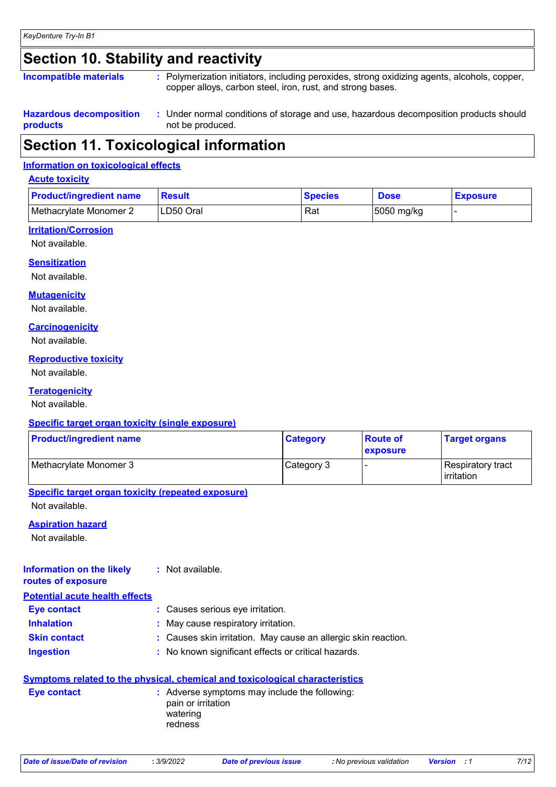## **Section 10. Stability and reactivity**

| Incompatible materials                     | : Polymerization initiators, including peroxides, strong oxidizing agents, alcohols, copper,<br>copper alloys, carbon steel, iron, rust, and strong bases. |
|--------------------------------------------|------------------------------------------------------------------------------------------------------------------------------------------------------------|
| <b>Hazardous decomposition</b><br>products | : Under normal conditions of storage and use, hazardous decomposition products should<br>not be produced.                                                  |

## **Section 11. Toxicological information**

#### **Information on toxicological effects**

#### **Acute toxicity**

| <b>Product/ingredient name</b> | <b>Result</b> | <b>Species</b> | <b>Dose</b> | <b>Exposure</b> |
|--------------------------------|---------------|----------------|-------------|-----------------|
| Methacrylate Monomer 2         | LD50 Oral     | Rat            | 5050 mg/kg  |                 |

#### **Irritation/Corrosion**

Not available.

#### **Sensitization**

Not available.

#### **Mutagenicity**

Not available.

#### **Carcinogenicity**

Not available.

#### **Reproductive toxicity**

Not available.

#### **Teratogenicity**

Not available.

#### **Specific target organ toxicity (single exposure)**

| <b>Product/ingredient name</b> | <b>Category</b> | <b>Route of</b><br><b>exposure</b> | <b>Target organs</b>                      |
|--------------------------------|-----------------|------------------------------------|-------------------------------------------|
| Methacrylate Monomer 3         | Category 3      |                                    | l Respiratory tract<br><b>lirritation</b> |

#### **Specific target organ toxicity (repeated exposure)** Not available.

#### **Aspiration hazard**

Not available.

**Information on the likely** 

### **routes of exposure**

**:** Not available.

#### **Potential acute health effects**

| <b>Eye contact</b>  | : Causes serious eye irritation.                               |
|---------------------|----------------------------------------------------------------|
| <b>Inhalation</b>   | : May cause respiratory irritation.                            |
| <b>Skin contact</b> | : Causes skin irritation. May cause an allergic skin reaction. |
| <b>Ingestion</b>    | : No known significant effects or critical hazards.            |

#### **Symptoms related to the physical, chemical and toxicological characteristics**

| Eye contact | : Adverse symptoms may include the following:<br>pain or irritation<br>watering<br>redness |
|-------------|--------------------------------------------------------------------------------------------|
|             |                                                                                            |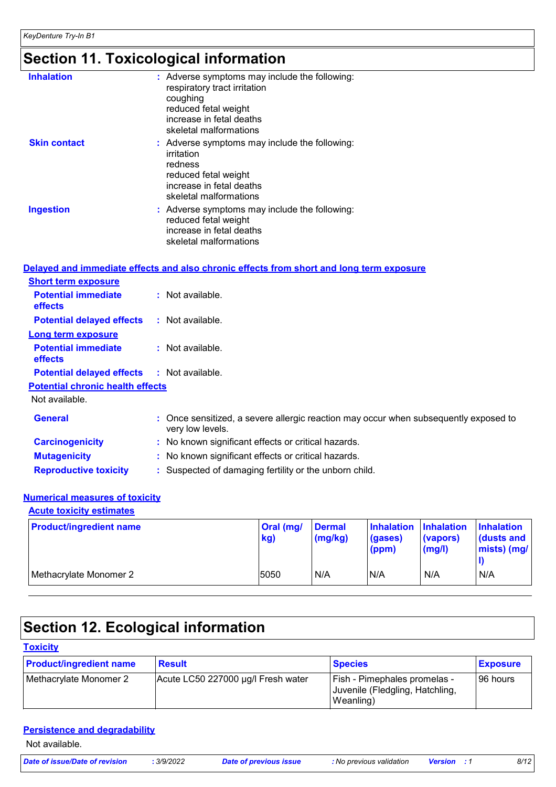# **Section 11. Toxicological information**

| <b>Inhalation</b>   | : Adverse symptoms may include the following:<br>respiratory tract irritation<br>coughing<br>reduced fetal weight<br>increase in fetal deaths<br>skeletal malformations |
|---------------------|-------------------------------------------------------------------------------------------------------------------------------------------------------------------------|
| <b>Skin contact</b> | : Adverse symptoms may include the following:<br>irritation<br>redness<br>reduced fetal weight<br>increase in fetal deaths<br>skeletal malformations                    |
| <b>Ingestion</b>    | : Adverse symptoms may include the following:<br>reduced fetal weight<br>increase in fetal deaths<br>skeletal malformations                                             |

|                                              | Delayed and immediate effects and also chronic effects from short and long term exposure                 |
|----------------------------------------------|----------------------------------------------------------------------------------------------------------|
| <b>Short term exposure</b>                   |                                                                                                          |
| <b>Potential immediate</b><br><b>effects</b> | : Not available.                                                                                         |
| <b>Potential delayed effects</b>             | : Not available.                                                                                         |
| Long term exposure                           |                                                                                                          |
| <b>Potential immediate</b><br><b>effects</b> | : Not available.                                                                                         |
| <b>Potential delayed effects</b>             | : Not available.                                                                                         |
| <b>Potential chronic health effects</b>      |                                                                                                          |
| Not available.                               |                                                                                                          |
| <b>General</b>                               | : Once sensitized, a severe allergic reaction may occur when subsequently exposed to<br>very low levels. |
| <b>Carcinogenicity</b>                       | : No known significant effects or critical hazards.                                                      |
| <b>Mutagenicity</b>                          | : No known significant effects or critical hazards.                                                      |
| <b>Reproductive toxicity</b>                 | : Suspected of damaging fertility or the unborn child.                                                   |

### **Numerical measures of toxicity**

| <b>Acute toxicity estimates</b> |                  |                          |                                           |                              |                                               |
|---------------------------------|------------------|--------------------------|-------------------------------------------|------------------------------|-----------------------------------------------|
| <b>Product/ingredient name</b>  | Oral (mg/<br>kg) | <b>Dermal</b><br>(mg/kg) | Inhalation Inhalation<br>(gases)<br>(ppm) | (vapors)<br>$\mathsf{mgl}()$ | <b>Inhalation</b><br>dusts and<br>mists) (mg/ |
| Methacrylate Monomer 2          | 5050             | N/A                      | IN/A                                      | N/A                          | N/A                                           |

# **Section 12. Ecological information**

### **Toxicity**

| <b>Product/ingredient name</b> | <b>Result</b>                      | <b>Species</b>                                                               | <b>Exposure</b> |
|--------------------------------|------------------------------------|------------------------------------------------------------------------------|-----------------|
| Methacrylate Monomer 2         | Acute LC50 227000 µg/l Fresh water | Fish - Pimephales promelas -<br>Juvenile (Fledgling, Hatchling,<br>Weanling) | 96 hours        |

#### **Persistence and degradability**

Not available.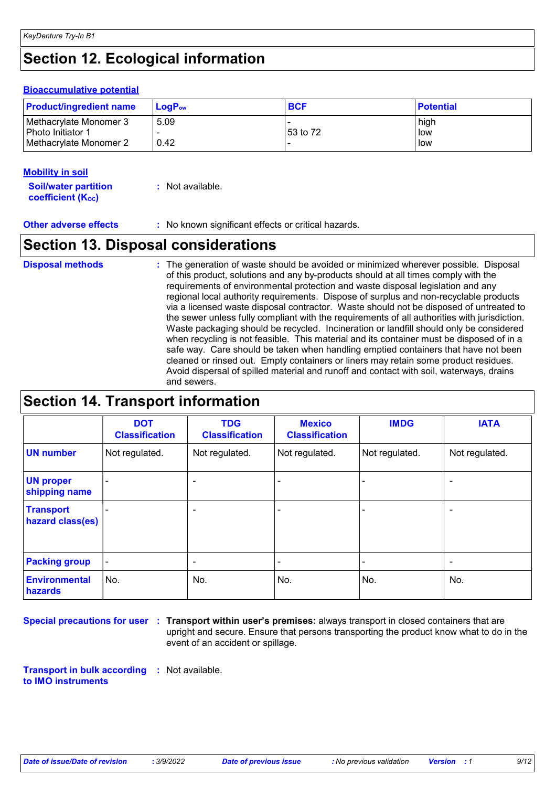# **Section 12. Ecological information**

#### **Bioaccumulative potential**

| <b>Product/ingredient name</b>                | $LoaPow$ | <b>BCF</b> | <b>Potential</b> |
|-----------------------------------------------|----------|------------|------------------|
| Methacrylate Monomer 3<br>l Photo Initiator 1 | 5.09     | 53 to 72   | high<br>low      |
| Methacrylate Monomer 2                        | 0.42     |            | low              |

#### **Mobility in soil**

**Soil/water partition coefficient (KOC) :** Not available.

**Other adverse effects** : No known significant effects or critical hazards.

### **Section 13. Disposal considerations**

The generation of waste should be avoided or minimized wherever possible. Disposal of this product, solutions and any by-products should at all times comply with the requirements of environmental protection and waste disposal legislation and any regional local authority requirements. Dispose of surplus and non-recyclable products via a licensed waste disposal contractor. Waste should not be disposed of untreated to the sewer unless fully compliant with the requirements of all authorities with jurisdiction. Waste packaging should be recycled. Incineration or landfill should only be considered when recycling is not feasible. This material and its container must be disposed of in a safe way. Care should be taken when handling emptied containers that have not been cleaned or rinsed out. Empty containers or liners may retain some product residues. Avoid dispersal of spilled material and runoff and contact with soil, waterways, drains and sewers. **Disposal methods :**

### **Section 14. Transport information**

|                                      | <b>DOT</b><br><b>Classification</b> | <b>TDG</b><br><b>Classification</b> | <b>Mexico</b><br><b>Classification</b> | <b>IMDG</b>    | <b>IATA</b>              |
|--------------------------------------|-------------------------------------|-------------------------------------|----------------------------------------|----------------|--------------------------|
| <b>UN number</b>                     | Not regulated.                      | Not regulated.                      | Not regulated.                         | Not regulated. | Not regulated.           |
| <b>UN proper</b><br>shipping name    |                                     | $\blacksquare$                      |                                        |                |                          |
| <b>Transport</b><br>hazard class(es) | ۰                                   | $\blacksquare$                      |                                        | $\blacksquare$ | $\overline{\phantom{0}}$ |
| <b>Packing group</b>                 | ۰                                   | $\overline{\phantom{a}}$            | -                                      | $\blacksquare$ | $\blacksquare$           |
| <b>Environmental</b><br>hazards      | No.                                 | No.                                 | No.                                    | No.            | No.                      |

**Special precautions for user Transport within user's premises:** always transport in closed containers that are **:** upright and secure. Ensure that persons transporting the product know what to do in the event of an accident or spillage.

**Transport in bulk according :** Not available. **to IMO instruments**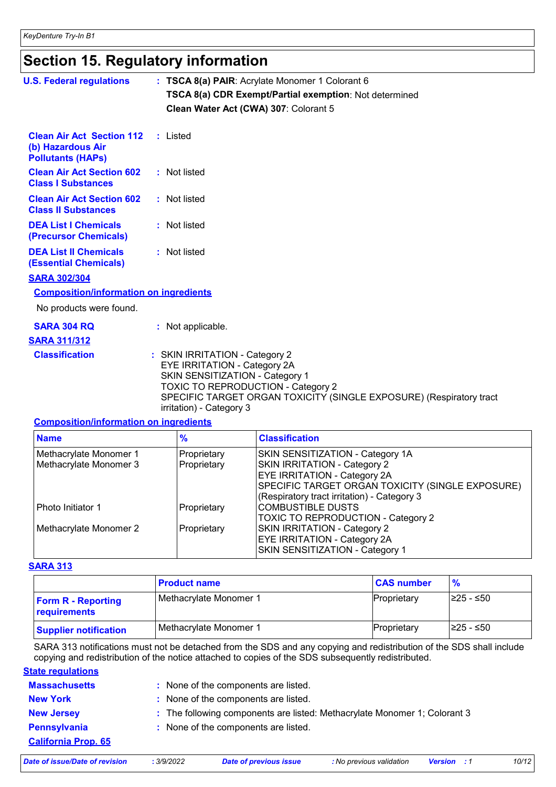# **Section 15. Regulatory information**

| <b>U.S. Federal regulations</b>                                                   | : TSCA 8(a) PAIR: Acrylate Monomer 1 Colorant 6<br>TSCA 8(a) CDR Exempt/Partial exemption: Not determined<br>Clean Water Act (CWA) 307: Colorant 5                                                                                                |
|-----------------------------------------------------------------------------------|---------------------------------------------------------------------------------------------------------------------------------------------------------------------------------------------------------------------------------------------------|
| <b>Clean Air Act Section 112</b><br>(b) Hazardous Air<br><b>Pollutants (HAPs)</b> | : Listed                                                                                                                                                                                                                                          |
| <b>Clean Air Act Section 602</b><br><b>Class I Substances</b>                     | : Not listed                                                                                                                                                                                                                                      |
| <b>Clean Air Act Section 602</b><br><b>Class II Substances</b>                    | : Not listed                                                                                                                                                                                                                                      |
| <b>DEA List I Chemicals</b><br>(Precursor Chemicals)                              | : Not listed                                                                                                                                                                                                                                      |
| <b>DEA List II Chemicals</b><br><b>(Essential Chemicals)</b>                      | : Not listed                                                                                                                                                                                                                                      |
| <b>SARA 302/304</b>                                                               |                                                                                                                                                                                                                                                   |
| <b>Composition/information on ingredients</b>                                     |                                                                                                                                                                                                                                                   |
| No products were found.                                                           |                                                                                                                                                                                                                                                   |
| <b>SARA 304 RQ</b>                                                                | : Not applicable.                                                                                                                                                                                                                                 |
| <b>SARA 311/312</b>                                                               |                                                                                                                                                                                                                                                   |
| <b>Classification</b>                                                             | : SKIN IRRITATION - Category 2<br>EYE IRRITATION - Category 2A<br>SKIN SENSITIZATION - Category 1<br><b>TOXIC TO REPRODUCTION - Category 2</b><br>SPECIFIC TARGET ORGAN TOXICITY (SINGLE EXPOSURE) (Respiratory tract<br>irritation) - Category 3 |

#### **Composition/information on ingredients**

| <b>Name</b>            | $\frac{9}{6}$ | <b>Classification</b>                            |  |
|------------------------|---------------|--------------------------------------------------|--|
| Methacrylate Monomer 1 | Proprietary   | SKIN SENSITIZATION - Category 1A                 |  |
| Methacrylate Monomer 3 | Proprietary   | SKIN IRRITATION - Category 2                     |  |
|                        |               | <b>EYE IRRITATION - Category 2A</b>              |  |
|                        |               | SPECIFIC TARGET ORGAN TOXICITY (SINGLE EXPOSURE) |  |
|                        |               | (Respiratory tract irritation) - Category 3      |  |
| l Photo Initiator 1    | Proprietary   | <b>COMBUSTIBLE DUSTS</b>                         |  |
|                        |               | TOXIC TO REPRODUCTION - Category 2               |  |
| Methacrylate Monomer 2 | Proprietary   | SKIN IRRITATION - Category 2                     |  |
|                        |               | <b>EYE IRRITATION - Category 2A</b>              |  |
|                        |               | SKIN SENSITIZATION - Category 1                  |  |

#### **SARA 313**

|                                           | <b>Product name</b>    | <b>CAS number</b> | $\frac{9}{6}$ |
|-------------------------------------------|------------------------|-------------------|---------------|
| <b>Form R - Reporting</b><br>requirements | Methacrylate Monomer 1 | Proprietary       | I≥25 - ≤50    |
| <b>Supplier notification</b>              | Methacrylate Monomer 1 | Proprietary       | I≥25 - ≤50    |

SARA 313 notifications must not be detached from the SDS and any copying and redistribution of the SDS shall include copying and redistribution of the notice attached to copies of the SDS subsequently redistributed.

| <b>State regulations</b>   |                                                                           |
|----------------------------|---------------------------------------------------------------------------|
| <b>Massachusetts</b>       | : None of the components are listed.                                      |
| <b>New York</b>            | : None of the components are listed.                                      |
| <b>New Jersey</b>          | : The following components are listed: Methacrylate Monomer 1; Colorant 3 |
| <b>Pennsylvania</b>        | : None of the components are listed.                                      |
| <b>California Prop. 65</b> |                                                                           |
|                            |                                                                           |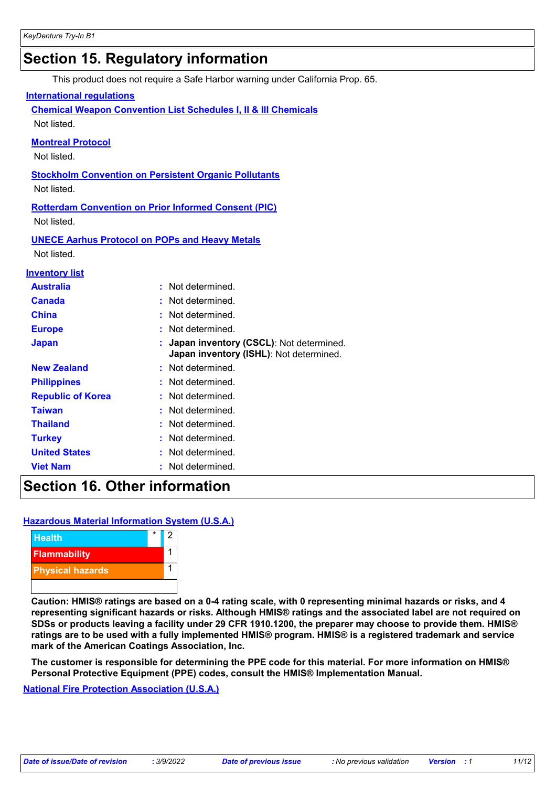## **Section 15. Regulatory information**

This product does not require a Safe Harbor warning under California Prop. 65.

#### **International regulations**

**Chemical Weapon Convention List Schedules I, II & III Chemicals** Not listed.

#### **Montreal Protocol**

Not listed.

#### **Stockholm Convention on Persistent Organic Pollutants**

Not listed.

**Rotterdam Convention on Prior Informed Consent (PIC)** Not listed.

**UNECE Aarhus Protocol on POPs and Heavy Metals** Not listed.

#### **Inventory list**

| <b>Australia</b>         | : Not determined.                                                                    |
|--------------------------|--------------------------------------------------------------------------------------|
| <b>Canada</b>            | : Not determined.                                                                    |
| China                    | : Not determined.                                                                    |
| <b>Europe</b>            | : Not determined.                                                                    |
| <b>Japan</b>             | : Japan inventory (CSCL): Not determined.<br>Japan inventory (ISHL): Not determined. |
| <b>New Zealand</b>       | : Not determined.                                                                    |
| <b>Philippines</b>       | : Not determined.                                                                    |
| <b>Republic of Korea</b> | : Not determined.                                                                    |
| <b>Taiwan</b>            | : Not determined.                                                                    |
| <b>Thailand</b>          | : Not determined.                                                                    |
| <b>Turkey</b>            | : Not determined.                                                                    |
| <b>United States</b>     | : Not determined.                                                                    |
| <b>Viet Nam</b>          | : Not determined.                                                                    |

### **Section 16. Other information**

#### **Hazardous Material Information System (U.S.A.)**



**Caution: HMIS® ratings are based on a 0-4 rating scale, with 0 representing minimal hazards or risks, and 4 representing significant hazards or risks. Although HMIS® ratings and the associated label are not required on SDSs or products leaving a facility under 29 CFR 1910.1200, the preparer may choose to provide them. HMIS® ratings are to be used with a fully implemented HMIS® program. HMIS® is a registered trademark and service mark of the American Coatings Association, Inc.**

**The customer is responsible for determining the PPE code for this material. For more information on HMIS® Personal Protective Equipment (PPE) codes, consult the HMIS® Implementation Manual.**

**National Fire Protection Association (U.S.A.)**